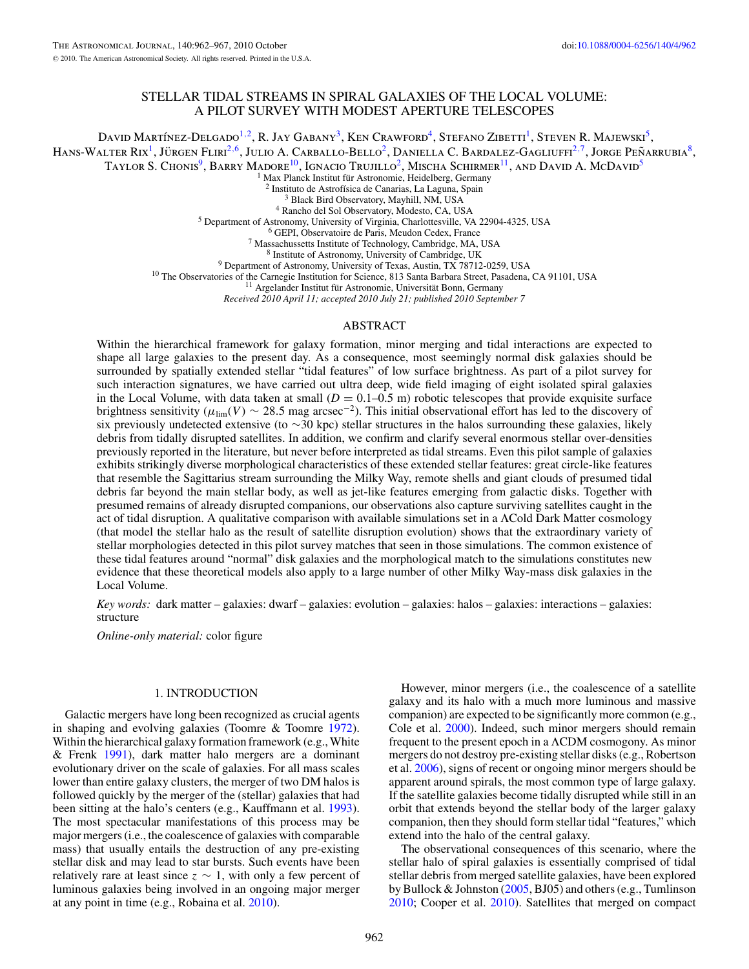# STELLAR TIDAL STREAMS IN SPIRAL GALAXIES OF THE LOCAL VOLUME: A PILOT SURVEY WITH MODEST APERTURE TELESCOPES

David Martínez-Delgado<sup>1, 2</sup>, R. Jay Gabany<sup>3</sup>, Ken Crawford<sup>4</sup>, Stefano Zibetti<sup>1</sup>, Steven R. Majewski<sup>5</sup>, Hans-Walter Rix<sup>1</sup>, Jürgen Fliri<sup>2,6</sup>, Julio A. Carballo-Bello<sup>2</sup>, Daniella C. Bardalez-Gagliuffi<sup>2,7</sup>, Jorge Peñarrubia<sup>8</sup>, TAYLOR S. CHONIS<sup>9</sup>, BARRY MADORE<sup>10</sup>, IGNACIO TRUJILLO<sup>2</sup>, MISCHA SCHIRMER<sup>11</sup>, AND DAVID A. MCDAVID<sup>5</sup><sup>1</sup> Max Planck Institut für Astronomie, Heidelberg, Germany <sup>2</sup> Instituto de Astrofísica de Canarias, La Laguna, Spain<br>
<sup>3</sup> Black Bird Observatory, Mayhill, NM, USA<br>
<sup>4</sup> Rancho del Sol Observatory, Modesto, CA, USA<br>
<sup>5</sup> Department of Astronomy, University of Virginia, Charlottesvi

*Received 2010 April 11; accepted 2010 July 21; published 2010 September 7*

#### ABSTRACT

Within the hierarchical framework for galaxy formation, minor merging and tidal interactions are expected to shape all large galaxies to the present day. As a consequence, most seemingly normal disk galaxies should be surrounded by spatially extended stellar "tidal features" of low surface brightness. As part of a pilot survey for such interaction signatures, we have carried out ultra deep, wide field imaging of eight isolated spiral galaxies in the Local Volume, with data taken at small  $(D = 0.1-0.5 \text{ m})$  robotic telescopes that provide exquisite surface brightness sensitivity ( $\mu_{\text{lim}}(V) \sim 28.5$  mag arcsec<sup>-2</sup>). This initial observational effort has led to the discovery of six previously undetected extensive (to ∼30 kpc) stellar structures in the halos surrounding these galaxies, likely debris from tidally disrupted satellites. In addition, we confirm and clarify several enormous stellar over-densities previously reported in the literature, but never before interpreted as tidal streams. Even this pilot sample of galaxies exhibits strikingly diverse morphological characteristics of these extended stellar features: great circle-like features that resemble the Sagittarius stream surrounding the Milky Way, remote shells and giant clouds of presumed tidal debris far beyond the main stellar body, as well as jet-like features emerging from galactic disks. Together with presumed remains of already disrupted companions, our observations also capture surviving satellites caught in the act of tidal disruption. A qualitative comparison with available simulations set in a ΛCold Dark Matter cosmology (that model the stellar halo as the result of satellite disruption evolution) shows that the extraordinary variety of stellar morphologies detected in this pilot survey matches that seen in those simulations. The common existence of these tidal features around "normal" disk galaxies and the morphological match to the simulations constitutes new evidence that these theoretical models also apply to a large number of other Milky Way-mass disk galaxies in the Local Volume.

*Key words:* dark matter – galaxies: dwarf – galaxies: evolution – galaxies: halos – galaxies: interactions – galaxies: structure

*Online-only material:* color figure

## 1. INTRODUCTION

Galactic mergers have long been recognized as crucial agents in shaping and evolving galaxies (Toomre & Toomre [1972\)](#page-5-0). Within the hierarchical galaxy formation framework (e.g., White & Frenk [1991\)](#page-5-0), dark matter halo mergers are a dominant evolutionary driver on the scale of galaxies. For all mass scales lower than entire galaxy clusters, the merger of two DM halos is followed quickly by the merger of the (stellar) galaxies that had been sitting at the halo's centers (e.g., Kauffmann et al. [1993\)](#page-5-0). The most spectacular manifestations of this process may be major mergers (i.e., the coalescence of galaxies with comparable mass) that usually entails the destruction of any pre-existing stellar disk and may lead to star bursts. Such events have been relatively rare at least since  $z \sim 1$ , with only a few percent of luminous galaxies being involved in an ongoing major merger at any point in time (e.g., Robaina et al. [2010\)](#page-5-0).

However, minor mergers (i.e., the coalescence of a satellite galaxy and its halo with a much more luminous and massive companion) are expected to be significantly more common (e.g., Cole et al. [2000\)](#page-5-0). Indeed, such minor mergers should remain frequent to the present epoch in a ΛCDM cosmogony. As minor mergers do not destroy pre-existing stellar disks (e.g., Robertson et al. [2006\)](#page-5-0), signs of recent or ongoing minor mergers should be apparent around spirals, the most common type of large galaxy. If the satellite galaxies become tidally disrupted while still in an orbit that extends beyond the stellar body of the larger galaxy companion, then they should form stellar tidal "features," which extend into the halo of the central galaxy.

The observational consequences of this scenario, where the stellar halo of spiral galaxies is essentially comprised of tidal stellar debris from merged satellite galaxies, have been explored by Bullock & Johnston [\(2005,](#page-5-0) BJ05) and others (e.g., Tumlinson [2010;](#page-5-0) Cooper et al. [2010\)](#page-5-0). Satellites that merged on compact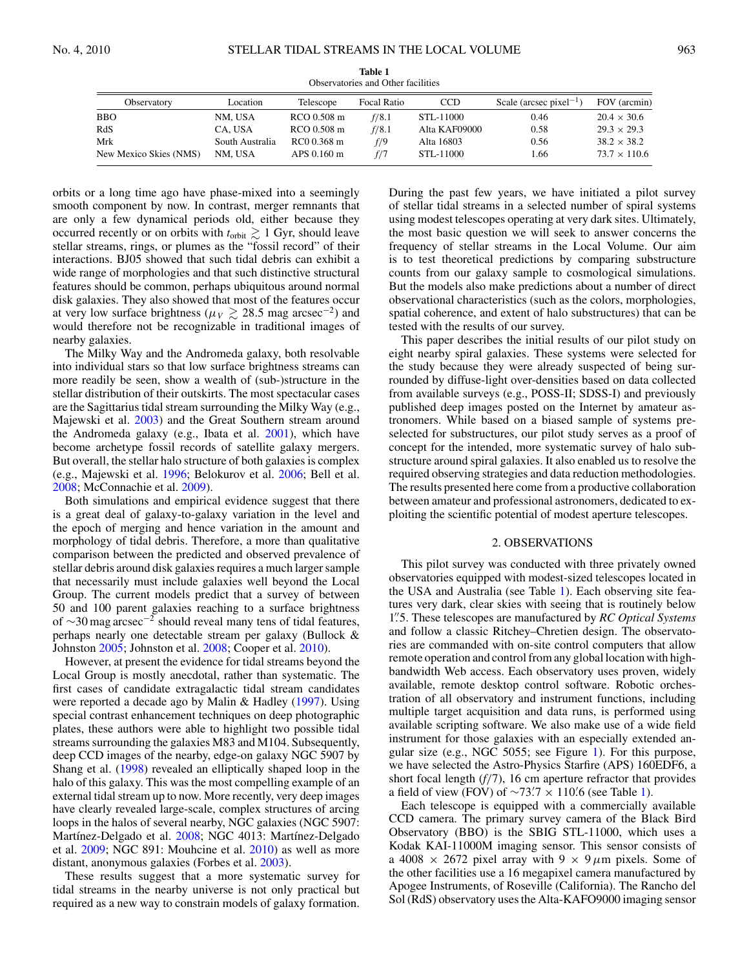<span id="page-1-0"></span>

| Observatories and Other facilities |                 |             |             |               |                                                  |                     |  |  |
|------------------------------------|-----------------|-------------|-------------|---------------|--------------------------------------------------|---------------------|--|--|
| Observatory                        | Location        | Telescope   | Focal Ratio | CCD           | Scale (arcsec pixel <sup><math>-1</math></sup> ) | FOV (arcmin)        |  |  |
| <b>BBO</b>                         | NM. USA         | RCO 0.508 m | f/8.1       | STL-11000     | 0.46                                             | $20.4 \times 30.6$  |  |  |
| RdS                                | CA. USA         | RCO 0.508 m | f/8.1       | Alta KAF09000 | 0.58                                             | $29.3 \times 29.3$  |  |  |
| Mrk                                | South Australia | RC0 0.368 m | f/9         | Alta 16803    | 0.56                                             | $38.2 \times 38.2$  |  |  |
| New Mexico Skies (NMS)             | NM. USA         | APS 0.160 m | f/7         | STL-11000     | .66                                              | $73.7 \times 110.6$ |  |  |

**Table 1**

orbits or a long time ago have phase-mixed into a seemingly smooth component by now. In contrast, merger remnants that are only a few dynamical periods old, either because they occurred recently or on orbits with  $t_{\text{orbit}} \gtrsim 1$  Gyr, should leave stellar streams, rings, or plumes as the "fossil record" of their interactions. BJ05 showed that such tidal debris can exhibit a wide range of morphologies and that such distinctive structural features should be common, perhaps ubiquitous around normal disk galaxies. They also showed that most of the features occur at very low surface brightness ( $\mu_V \gtrsim 28.5$  mag arcsec<sup>-2</sup>) and would therefore not be recognizable in traditional images of nearby galaxies.

The Milky Way and the Andromeda galaxy, both resolvable into individual stars so that low surface brightness streams can more readily be seen, show a wealth of (sub-)structure in the stellar distribution of their outskirts. The most spectacular cases are the Sagittarius tidal stream surrounding the Milky Way (e.g., Majewski et al. [2003\)](#page-5-0) and the Great Southern stream around the Andromeda galaxy (e.g., Ibata et al. [2001\)](#page-5-0), which have become archetype fossil records of satellite galaxy mergers. But overall, the stellar halo structure of both galaxies is complex (e.g., Majewski et al. [1996;](#page-5-0) Belokurov et al. [2006;](#page-5-0) Bell et al. [2008;](#page-5-0) McConnachie et al. [2009\)](#page-5-0).

Both simulations and empirical evidence suggest that there is a great deal of galaxy-to-galaxy variation in the level and the epoch of merging and hence variation in the amount and morphology of tidal debris. Therefore, a more than qualitative comparison between the predicted and observed prevalence of stellar debris around disk galaxies requires a much larger sample that necessarily must include galaxies well beyond the Local Group. The current models predict that a survey of between 50 and 100 parent galaxies reaching to a surface brightness of <sup>∼</sup>30 mag arcsec−<sup>2</sup> should reveal many tens of tidal features, perhaps nearly one detectable stream per galaxy (Bullock & Johnston [2005;](#page-5-0) Johnston et al. [2008;](#page-5-0) Cooper et al. [2010\)](#page-5-0).

However, at present the evidence for tidal streams beyond the Local Group is mostly anecdotal, rather than systematic. The first cases of candidate extragalactic tidal stream candidates were reported a decade ago by Malin & Hadley [\(1997\)](#page-5-0). Using special contrast enhancement techniques on deep photographic plates, these authors were able to highlight two possible tidal streams surrounding the galaxies M83 and M104. Subsequently, deep CCD images of the nearby, edge-on galaxy NGC 5907 by Shang et al. [\(1998\)](#page-5-0) revealed an elliptically shaped loop in the halo of this galaxy. This was the most compelling example of an external tidal stream up to now. More recently, very deep images have clearly revealed large-scale, complex structures of arcing loops in the halos of several nearby, NGC galaxies (NGC 5907: Martínez-Delgado et al. [2008;](#page-5-0) NGC 4013: Martínez-Delgado et al. [2009;](#page-5-0) NGC 891: Mouhcine et al. [2010\)](#page-5-0) as well as more distant, anonymous galaxies (Forbes et al. [2003\)](#page-5-0).

These results suggest that a more systematic survey for tidal streams in the nearby universe is not only practical but required as a new way to constrain models of galaxy formation.

During the past few years, we have initiated a pilot survey of stellar tidal streams in a selected number of spiral systems using modest telescopes operating at very dark sites. Ultimately, the most basic question we will seek to answer concerns the frequency of stellar streams in the Local Volume. Our aim is to test theoretical predictions by comparing substructure counts from our galaxy sample to cosmological simulations. But the models also make predictions about a number of direct observational characteristics (such as the colors, morphologies, spatial coherence, and extent of halo substructures) that can be tested with the results of our survey.

This paper describes the initial results of our pilot study on eight nearby spiral galaxies. These systems were selected for the study because they were already suspected of being surrounded by diffuse-light over-densities based on data collected from available surveys (e.g., POSS-II; SDSS-I) and previously published deep images posted on the Internet by amateur astronomers. While based on a biased sample of systems preselected for substructures, our pilot study serves as a proof of concept for the intended, more systematic survey of halo substructure around spiral galaxies. It also enabled us to resolve the required observing strategies and data reduction methodologies. The results presented here come from a productive collaboration between amateur and professional astronomers, dedicated to exploiting the scientific potential of modest aperture telescopes.

## 2. OBSERVATIONS

This pilot survey was conducted with three privately owned observatories equipped with modest-sized telescopes located in the USA and Australia (see Table 1). Each observing site features very dark, clear skies with seeing that is routinely below 1*.* 5. These telescopes are manufactured by *RC Optical Systems* and follow a classic Ritchey–Chretien design. The observatories are commanded with on-site control computers that allow remote operation and control from any global location with highbandwidth Web access. Each observatory uses proven, widely available, remote desktop control software. Robotic orchestration of all observatory and instrument functions, including multiple target acquisition and data runs, is performed using available scripting software. We also make use of a wide field instrument for those galaxies with an especially extended angular size (e.g., NGC 5055; see Figure [1\)](#page-2-0). For this purpose, we have selected the Astro-Physics Starfire (APS) 160EDF6, a short focal length (*f/*7), 16 cm aperture refractor that provides a field of view (FOV) of  $\sim$ 73.<sup>7</sup> × 110.6 (see Table 1).

Each telescope is equipped with a commercially available CCD camera. The primary survey camera of the Black Bird Observatory (BBO) is the SBIG STL-11000, which uses a Kodak KAI-11000M imaging sensor. This sensor consists of a 4008  $\times$  2672 pixel array with 9  $\times$  9  $\mu$ m pixels. Some of the other facilities use a 16 megapixel camera manufactured by Apogee Instruments, of Roseville (California). The Rancho del Sol (RdS) observatory uses the Alta-KAFO9000 imaging sensor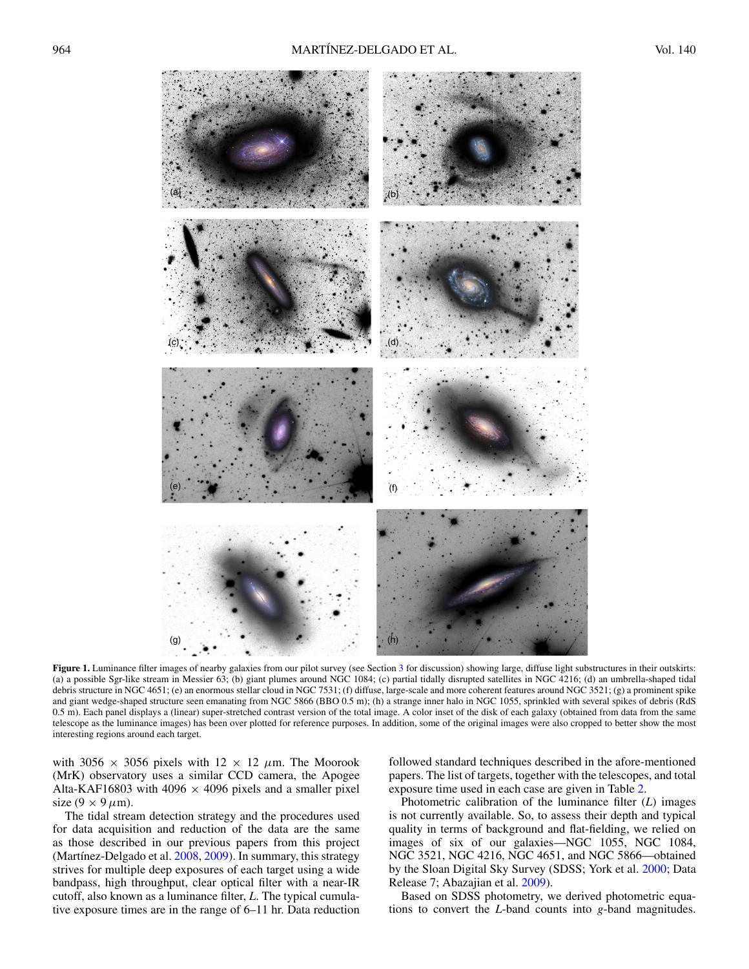<span id="page-2-0"></span>

**Figure 1.** Luminance filter images of nearby galaxies from our pilot survey (see Section [3](#page-3-0) for discussion) showing large, diffuse light substructures in their outskirts: (a) a possible Sgr-like stream in Messier 63; (b) giant plumes around NGC 1084; (c) partial tidally disrupted satellites in NGC 4216; (d) an umbrella-shaped tidal debris structure in NGC 4651; (e) an enormous stellar cloud in NGC 7531; (f) diffuse, large-scale and more coherent features around NGC 3521; (g) a prominent spike and giant wedge-shaped structure seen emanating from NGC 5866 (BBO 0.5 m); (h) a strange inner halo in NGC 1055, sprinkled with several spikes of debris (RdS 0.5 m). Each panel displays a (linear) super-stretched contrast version of the total image. A color inset of the disk of each galaxy (obtained from data from the same telescope as the luminance images) has been over plotted for reference purposes. In addition, some of the original images were also cropped to better show the most interesting regions around each target.

with 3056  $\times$  3056 pixels with 12  $\times$  12  $\mu$ m. The Moorook (MrK) observatory uses a similar CCD camera, the Apogee Alta-KAF16803 with 4096  $\times$  4096 pixels and a smaller pixel size  $(9 \times 9 \mu m)$ .

The tidal stream detection strategy and the procedures used for data acquisition and reduction of the data are the same as those described in our previous papers from this project (Martínez-Delgado et al.  $2008$ ,  $2009$ ). In summary, this strategy strives for multiple deep exposures of each target using a wide bandpass, high throughput, clear optical filter with a near-IR cutoff, also known as a luminance filter, *L*. The typical cumulative exposure times are in the range of 6–11 hr. Data reduction

followed standard techniques described in the afore-mentioned papers. The list of targets, together with the telescopes, and total exposure time used in each case are given in Table [2.](#page-3-0)

Photometric calibration of the luminance filter (*L*) images is not currently available. So, to assess their depth and typical quality in terms of background and flat-fielding, we relied on images of six of our galaxies—NGC 1055, NGC 1084, NGC 3521, NGC 4216, NGC 4651, and NGC 5866—obtained by the Sloan Digital Sky Survey (SDSS; York et al. [2000;](#page-5-0) Data Release 7; Abazajian et al. [2009\)](#page-5-0).

Based on SDSS photometry, we derived photometric equations to convert the *L*-band counts into *g*-band magnitudes.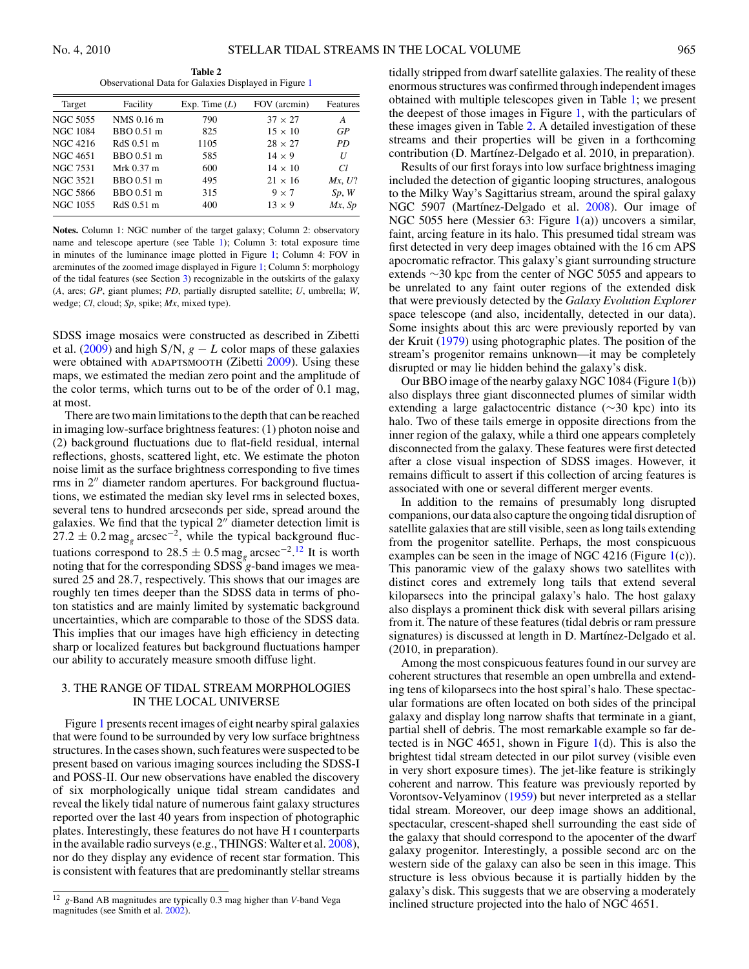**Table 2** Observational Data for Galaxies Displayed in Figure [1](#page-2-0)

<span id="page-3-0"></span>

| Target          | Facility   | Exp. Time $(L)$ | FOV (arcmin)   | Features  |
|-----------------|------------|-----------------|----------------|-----------|
| <b>NGC 5055</b> | NMS 0.16 m | 790             | $37 \times 27$ | A         |
| <b>NGC 1084</b> | BBO 0.51 m | 825             | $15 \times 10$ | GP        |
| <b>NGC 4216</b> | RdS 0.51 m | 1105            | $28 \times 27$ | PD.       |
| NGC 4651        | BBO 0.51 m | 585             | $14 \times 9$  | U         |
| NGC 7531        | Mrk 0.37 m | 600             | $14 \times 10$ | Cl.       |
| <b>NGC 3521</b> | BBO 0.51 m | 495             | $21 \times 16$ | Mx, U?    |
| NGC 5866        | BBO 0.51 m | 315             | $9 \times 7$   | Sp, W     |
| <b>NGC 1055</b> | RdS 0.51 m | 400             | $13 \times 9$  | $Mx$ , Sp |

**Notes.** Column 1: NGC number of the target galaxy; Column 2: observatory name and telescope aperture (see Table [1\)](#page-1-0); Column 3: total exposure time in minutes of the luminance image plotted in Figure [1;](#page-2-0) Column 4: FOV in arcminutes of the zoomed image displayed in Figure [1;](#page-2-0) Column 5: morphology of the tidal features (see Section 3) recognizable in the outskirts of the galaxy (*A*, arcs; *GP*, giant plumes; *PD*, partially disrupted satellite; *U*, umbrella; *W*, wedge; *Cl*, cloud; *Sp*, spike; *Mx*, mixed type).

SDSS image mosaics were constructed as described in Zibetti et al. [\(2009\)](#page-5-0) and high S/N,  $g - L$  color maps of these galaxies were obtained with ADAPTSMOOTH (Zibetti [2009\)](#page-5-0). Using these maps, we estimated the median zero point and the amplitude of the color terms, which turns out to be of the order of 0.1 mag, at most.

There are two main limitations to the depth that can be reached in imaging low-surface brightness features: (1) photon noise and (2) background fluctuations due to flat-field residual, internal reflections, ghosts, scattered light, etc. We estimate the photon noise limit as the surface brightness corresponding to five times rms in  $2''$  diameter random apertures. For background fluctuations, we estimated the median sky level rms in selected boxes, several tens to hundred arcseconds per side, spread around the galaxies. We find that the typical  $2<sup>''</sup>$  diameter detection limit is  $27.2 \pm 0.2$  mag<sub>g</sub> arcsec<sup>-2</sup>, while the typical background fluctuations correspond to 28.5  $\pm$  0.5 mag<sub>g</sub> arcsec<sup>-2</sup>.<sup>12</sup> It is worth noting that for the corresponding SDSS *g*-band images we measured 25 and 28.7, respectively. This shows that our images are roughly ten times deeper than the SDSS data in terms of photon statistics and are mainly limited by systematic background uncertainties, which are comparable to those of the SDSS data. This implies that our images have high efficiency in detecting sharp or localized features but background fluctuations hamper our ability to accurately measure smooth diffuse light.

## 3. THE RANGE OF TIDAL STREAM MORPHOLOGIES IN THE LOCAL UNIVERSE

Figure [1](#page-2-0) presents recent images of eight nearby spiral galaxies that were found to be surrounded by very low surface brightness structures. In the cases shown, such features were suspected to be present based on various imaging sources including the SDSS-I and POSS-II. Our new observations have enabled the discovery of six morphologically unique tidal stream candidates and reveal the likely tidal nature of numerous faint galaxy structures reported over the last 40 years from inspection of photographic plates. Interestingly, these features do not have H i counterparts in the available radio surveys (e.g., THINGS: Walter et al. [2008\)](#page-5-0), nor do they display any evidence of recent star formation. This is consistent with features that are predominantly stellar streams

tidally stripped from dwarf satellite galaxies. The reality of these enormous structures was confirmed through independent images obtained with multiple telescopes given in Table [1;](#page-1-0) we present the deepest of those images in Figure [1,](#page-2-0) with the particulars of these images given in Table 2. A detailed investigation of these streams and their properties will be given in a forthcoming contribution (D. Martínez-Delgado et al. 2010, in preparation).

Results of our first forays into low surface brightness imaging included the detection of gigantic looping structures, analogous to the Milky Way's Sagittarius stream, around the spiral galaxy NGC 5907 (Martínez-Delgado et al. [2008\)](#page-5-0). Our image of NGC 5055 here (Messier 63: Figure [1\(](#page-2-0)a)) uncovers a similar, faint, arcing feature in its halo. This presumed tidal stream was first detected in very deep images obtained with the 16 cm APS apocromatic refractor. This galaxy's giant surrounding structure extends ∼30 kpc from the center of NGC 5055 and appears to be unrelated to any faint outer regions of the extended disk that were previously detected by the *Galaxy Evolution Explorer* space telescope (and also, incidentally, detected in our data). Some insights about this arc were previously reported by van der Kruit [\(1979\)](#page-5-0) using photographic plates. The position of the stream's progenitor remains unknown—it may be completely disrupted or may lie hidden behind the galaxy's disk.

Our BBO image of the nearby galaxy NGC 1084 (Figure [1\(](#page-2-0)b)) also displays three giant disconnected plumes of similar width extending a large galactocentric distance (∼30 kpc) into its halo. Two of these tails emerge in opposite directions from the inner region of the galaxy, while a third one appears completely disconnected from the galaxy. These features were first detected after a close visual inspection of SDSS images. However, it remains difficult to assert if this collection of arcing features is associated with one or several different merger events.

In addition to the remains of presumably long disrupted companions, our data also capture the ongoing tidal disruption of satellite galaxies that are still visible, seen as long tails extending from the progenitor satellite. Perhaps, the most conspicuous examples can be seen in the image of NGC 4216 (Figure  $1(c)$  $1(c)$ ). This panoramic view of the galaxy shows two satellites with distinct cores and extremely long tails that extend several kiloparsecs into the principal galaxy's halo. The host galaxy also displays a prominent thick disk with several pillars arising from it. The nature of these features (tidal debris or ram pressure signatures) is discussed at length in D. Martínez-Delgado et al. (2010, in preparation).

Among the most conspicuous features found in our survey are coherent structures that resemble an open umbrella and extending tens of kiloparsecs into the host spiral's halo. These spectacular formations are often located on both sides of the principal galaxy and display long narrow shafts that terminate in a giant, partial shell of debris. The most remarkable example so far detected is in NGC 4651, shown in Figure  $1(d)$  $1(d)$ . This is also the brightest tidal stream detected in our pilot survey (visible even in very short exposure times). The jet-like feature is strikingly coherent and narrow. This feature was previously reported by Vorontsov-Velyaminov [\(1959\)](#page-5-0) but never interpreted as a stellar tidal stream. Moreover, our deep image shows an additional, spectacular, crescent-shaped shell surrounding the east side of the galaxy that should correspond to the apocenter of the dwarf galaxy progenitor. Interestingly, a possible second arc on the western side of the galaxy can also be seen in this image. This structure is less obvious because it is partially hidden by the galaxy's disk. This suggests that we are observing a moderately inclined structure projected into the halo of NGC 4651.

<sup>12</sup> *g*-Band AB magnitudes are typically 0.3 mag higher than *V*-band Vega magnitudes (see Smith et al. [2002\)](#page-5-0).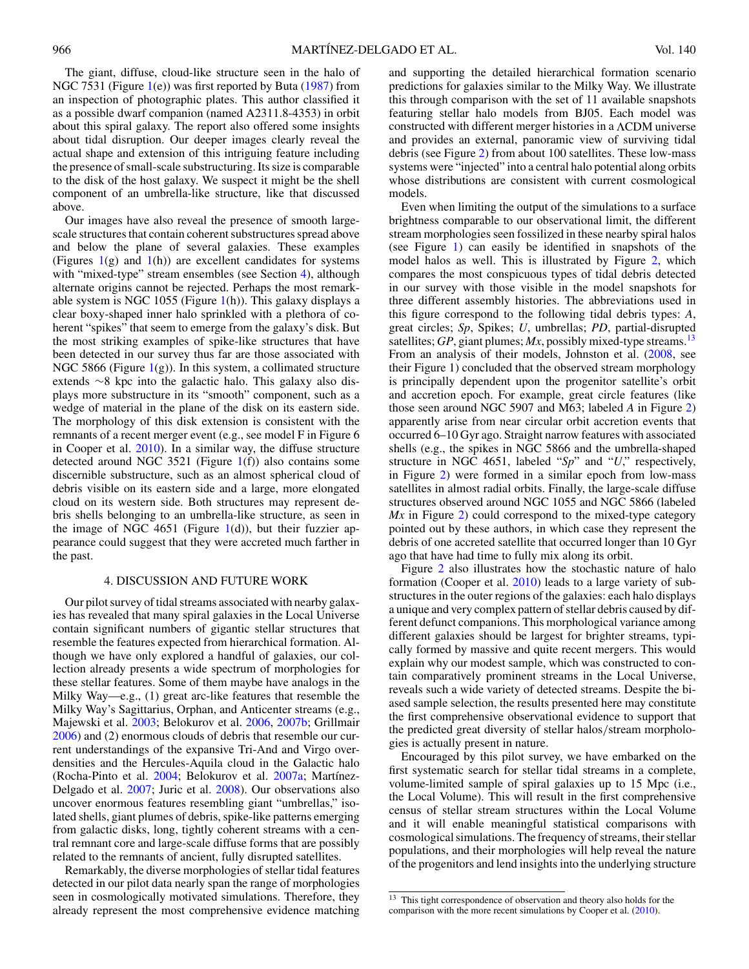<span id="page-4-0"></span>The giant, diffuse, cloud-like structure seen in the halo of NGC 7531 (Figure  $1(e)$  $1(e)$ ) was first reported by Buta [\(1987\)](#page-5-0) from an inspection of photographic plates. This author classified it as a possible dwarf companion (named A2311.8-4353) in orbit about this spiral galaxy. The report also offered some insights about tidal disruption. Our deeper images clearly reveal the actual shape and extension of this intriguing feature including the presence of small-scale substructuring. Its size is comparable to the disk of the host galaxy. We suspect it might be the shell component of an umbrella-like structure, like that discussed above.

Our images have also reveal the presence of smooth largescale structures that contain coherent substructures spread above and below the plane of several galaxies. These examples (Figures  $1(g)$  $1(g)$  and  $1(h)$ ) are excellent candidates for systems with "mixed-type" stream ensembles (see Section 4), although alternate origins cannot be rejected. Perhaps the most remark-able system is NGC 1055 (Figure [1\(](#page-2-0)h)). This galaxy displays a clear boxy-shaped inner halo sprinkled with a plethora of coherent "spikes" that seem to emerge from the galaxy's disk. But the most striking examples of spike-like structures that have been detected in our survey thus far are those associated with NGC 5866 (Figure  $1(g)$  $1(g)$ ). In this system, a collimated structure extends ∼8 kpc into the galactic halo. This galaxy also displays more substructure in its "smooth" component, such as a wedge of material in the plane of the disk on its eastern side. The morphology of this disk extension is consistent with the remnants of a recent merger event (e.g., see model F in Figure 6 in Cooper et al. [2010\)](#page-5-0). In a similar way, the diffuse structure detected around NGC 3521 (Figure  $1(f)$  $1(f)$ ) also contains some discernible substructure, such as an almost spherical cloud of debris visible on its eastern side and a large, more elongated cloud on its western side. Both structures may represent debris shells belonging to an umbrella-like structure, as seen in the image of NGC 4651 (Figure [1\(](#page-2-0)d)), but their fuzzier appearance could suggest that they were accreted much farther in the past.

### 4. DISCUSSION AND FUTURE WORK

Our pilot survey of tidal streams associated with nearby galaxies has revealed that many spiral galaxies in the Local Universe contain significant numbers of gigantic stellar structures that resemble the features expected from hierarchical formation. Although we have only explored a handful of galaxies, our collection already presents a wide spectrum of morphologies for these stellar features. Some of them maybe have analogs in the Milky Way—e.g., (1) great arc-like features that resemble the Milky Way's Sagittarius, Orphan, and Anticenter streams (e.g., Majewski et al. [2003;](#page-5-0) Belokurov et al. [2006,](#page-5-0) [2007b;](#page-5-0) Grillmair [2006\)](#page-5-0) and (2) enormous clouds of debris that resemble our current understandings of the expansive Tri-And and Virgo overdensities and the Hercules-Aquila cloud in the Galactic halo (Rocha-Pinto et al.  $2004$ ; Belokurov et al.  $2007a$ ; Martínez-Delgado et al. [2007;](#page-5-0) Juric et al. [2008\)](#page-5-0). Our observations also uncover enormous features resembling giant "umbrellas," isolated shells, giant plumes of debris, spike-like patterns emerging from galactic disks, long, tightly coherent streams with a central remnant core and large-scale diffuse forms that are possibly related to the remnants of ancient, fully disrupted satellites.

Remarkably, the diverse morphologies of stellar tidal features detected in our pilot data nearly span the range of morphologies seen in cosmologically motivated simulations. Therefore, they already represent the most comprehensive evidence matching

and supporting the detailed hierarchical formation scenario predictions for galaxies similar to the Milky Way. We illustrate this through comparison with the set of 11 available snapshots featuring stellar halo models from BJ05. Each model was constructed with different merger histories in a ΛCDM universe and provides an external, panoramic view of surviving tidal debris (see Figure [2\)](#page-5-0) from about 100 satellites. These low-mass systems were "injected" into a central halo potential along orbits whose distributions are consistent with current cosmological models.

Even when limiting the output of the simulations to a surface brightness comparable to our observational limit, the different stream morphologies seen fossilized in these nearby spiral halos (see Figure [1\)](#page-2-0) can easily be identified in snapshots of the model halos as well. This is illustrated by Figure [2,](#page-5-0) which compares the most conspicuous types of tidal debris detected in our survey with those visible in the model snapshots for three different assembly histories. The abbreviations used in this figure correspond to the following tidal debris types: *A*, great circles; *Sp*, Spikes; *U*, umbrellas; *PD*, partial-disrupted satellites;  $GP$ , giant plumes;  $Mx$ , possibly mixed-type streams.<sup>13</sup> From an analysis of their models, Johnston et al. [\(2008,](#page-5-0) see their Figure 1) concluded that the observed stream morphology is principally dependent upon the progenitor satellite's orbit and accretion epoch. For example, great circle features (like those seen around NGC 5907 and M63; labeled *A* in Figure [2\)](#page-5-0) apparently arise from near circular orbit accretion events that occurred 6–10 Gyr ago. Straight narrow features with associated shells (e.g., the spikes in NGC 5866 and the umbrella-shaped structure in NGC 4651, labeled "*Sp*" and "*U*," respectively, in Figure [2\)](#page-5-0) were formed in a similar epoch from low-mass satellites in almost radial orbits. Finally, the large-scale diffuse structures observed around NGC 1055 and NGC 5866 (labeled *Mx* in Figure [2\)](#page-5-0) could correspond to the mixed-type category pointed out by these authors, in which case they represent the debris of one accreted satellite that occurred longer than 10 Gyr ago that have had time to fully mix along its orbit.

Figure [2](#page-5-0) also illustrates how the stochastic nature of halo formation (Cooper et al. [2010\)](#page-5-0) leads to a large variety of substructures in the outer regions of the galaxies: each halo displays a unique and very complex pattern of stellar debris caused by different defunct companions. This morphological variance among different galaxies should be largest for brighter streams, typically formed by massive and quite recent mergers. This would explain why our modest sample, which was constructed to contain comparatively prominent streams in the Local Universe, reveals such a wide variety of detected streams. Despite the biased sample selection, the results presented here may constitute the first comprehensive observational evidence to support that the predicted great diversity of stellar halos*/*stream morphologies is actually present in nature.

Encouraged by this pilot survey, we have embarked on the first systematic search for stellar tidal streams in a complete, volume-limited sample of spiral galaxies up to 15 Mpc (i.e., the Local Volume). This will result in the first comprehensive census of stellar stream structures within the Local Volume and it will enable meaningful statistical comparisons with cosmological simulations. The frequency of streams, their stellar populations, and their morphologies will help reveal the nature of the progenitors and lend insights into the underlying structure

<sup>13</sup> This tight correspondence of observation and theory also holds for the comparison with the more recent simulations by Cooper et al. [\(2010\)](#page-5-0).